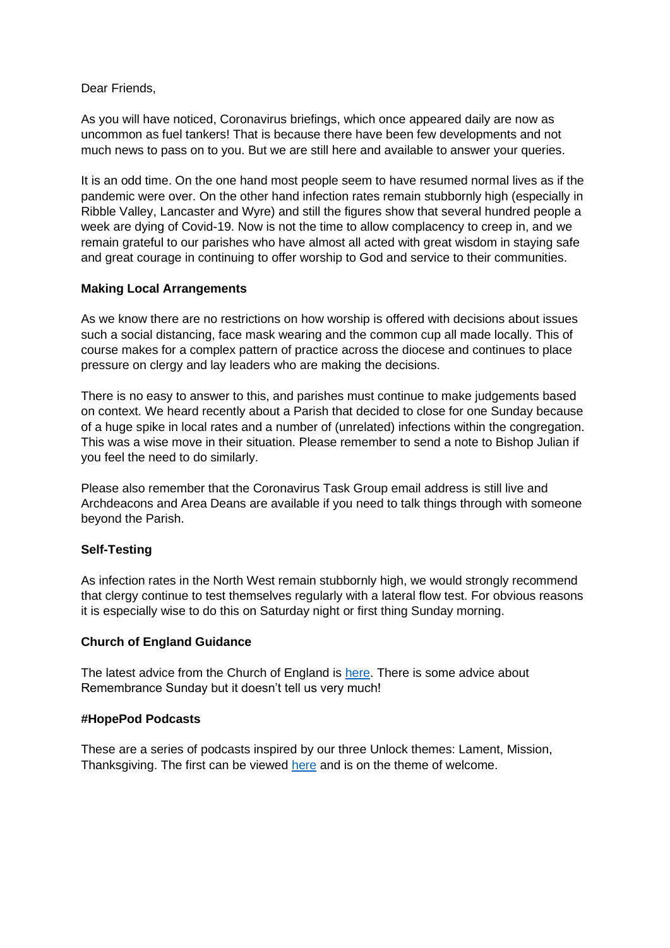Dear Friends,

As you will have noticed, Coronavirus briefings, which once appeared daily are now as uncommon as fuel tankers! That is because there have been few developments and not much news to pass on to you. But we are still here and available to answer your queries.

It is an odd time. On the one hand most people seem to have resumed normal lives as if the pandemic were over. On the other hand infection rates remain stubbornly high (especially in Ribble Valley, Lancaster and Wyre) and still the figures show that several hundred people a week are dying of Covid-19. Now is not the time to allow complacency to creep in, and we remain grateful to our parishes who have almost all acted with great wisdom in staying safe and great courage in continuing to offer worship to God and service to their communities.

## **Making Local Arrangements**

As we know there are no restrictions on how worship is offered with decisions about issues such a social distancing, face mask wearing and the common cup all made locally. This of course makes for a complex pattern of practice across the diocese and continues to place pressure on clergy and lay leaders who are making the decisions.

There is no easy to answer to this, and parishes must continue to make judgements based on context. We heard recently about a Parish that decided to close for one Sunday because of a huge spike in local rates and a number of (unrelated) infections within the congregation. This was a wise move in their situation. Please remember to send a note to Bishop Julian if you feel the need to do similarly.

Please also remember that the Coronavirus Task Group email address is still live and Archdeacons and Area Deans are available if you need to talk things through with someone beyond the Parish.

## **Self-Testing**

As infection rates in the North West remain stubbornly high, we would strongly recommend that clergy continue to test themselves regularly with a lateral flow test. For obvious reasons it is especially wise to do this on Saturday night or first thing Sunday morning.

#### **Church of England Guidance**

The latest advice from the Church of England is [here.](https://www.churchofengland.org/resources/coronavirus-covid-19-guidance) There is some advice about Remembrance Sunday but it doesn't tell us very much!

#### **#HopePod Podcasts**

These are a series of podcasts inspired by our three Unlock themes: Lament, Mission, Thanksgiving. The first can be viewed [here](https://www.youtube.com/watch?v=IEEvo_v0iCc) and is on the theme of welcome.